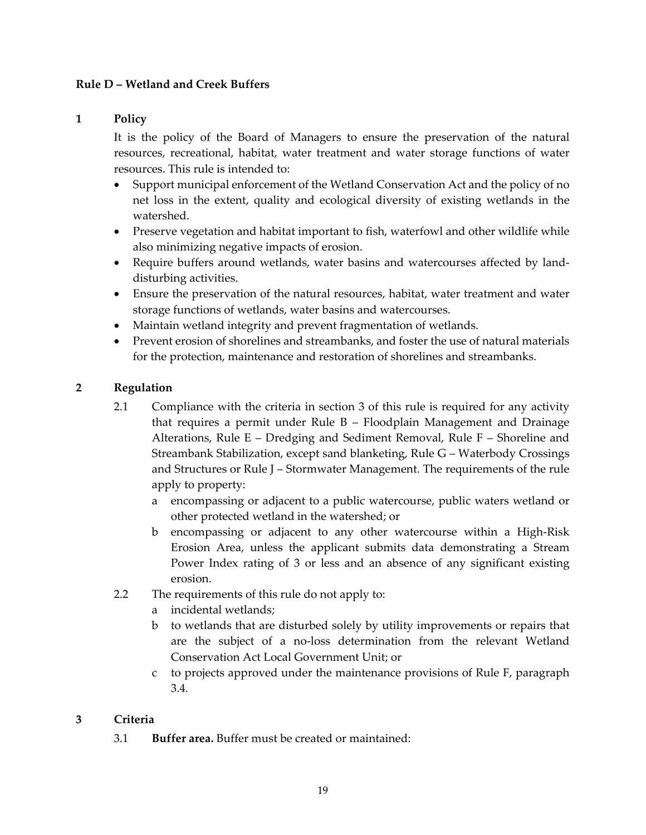### **Rule D – Wetland and Creek Buffers**

#### **1 Policy**

It is the policy of the Board of Managers to ensure the preservation of the natural resources, recreational, habitat, water treatment and water storage functions of water resources. This rule is intended to:

- Support municipal enforcement of the Wetland Conservation Act and the policy of no net loss in the extent, quality and ecological diversity of existing wetlands in the watershed.
- Preserve vegetation and habitat important to fish, waterfowl and other wildlife while also minimizing negative impacts of erosion.
- Require buffers around wetlands, water basins and watercourses affected by land‐ disturbing activities.
- Ensure the preservation of the natural resources, habitat, water treatment and water storage functions of wetlands, water basins and watercourses.
- Maintain wetland integrity and prevent fragmentation of wetlands.
- Prevent erosion of shorelines and streambanks, and foster the use of natural materials for the protection, maintenance and restoration of shorelines and streambanks.

### **2 Regulation**

- 2.1 Compliance with the criteria in section 3 of this rule is required for any activity that requires a permit under Rule B – Floodplain Management and Drainage Alterations, Rule E – Dredging and Sediment Removal, Rule F – Shoreline and Streambank Stabilization, except sand blanketing, Rule G – Waterbody Crossings and Structures or Rule J – Stormwater Management. The requirements of the rule apply to property:
	- a encompassing or adjacent to a public watercourse, public waters wetland or other protected wetland in the watershed; or
	- b encompassing or adjacent to any other watercourse within a High‐Risk Erosion Area, unless the applicant submits data demonstrating a Stream Power Index rating of 3 or less and an absence of any significant existing erosion.
- 2.2 The requirements of this rule do not apply to:
	- a incidental wetlands;
	- b to wetlands that are disturbed solely by utility improvements or repairs that are the subject of a no‐loss determination from the relevant Wetland Conservation Act Local Government Unit; or
	- c to projects approved under the maintenance provisions of Rule F, paragraph 3.4.

## **3 Criteria**

3.1 **Buffer area.** Buffer must be created or maintained: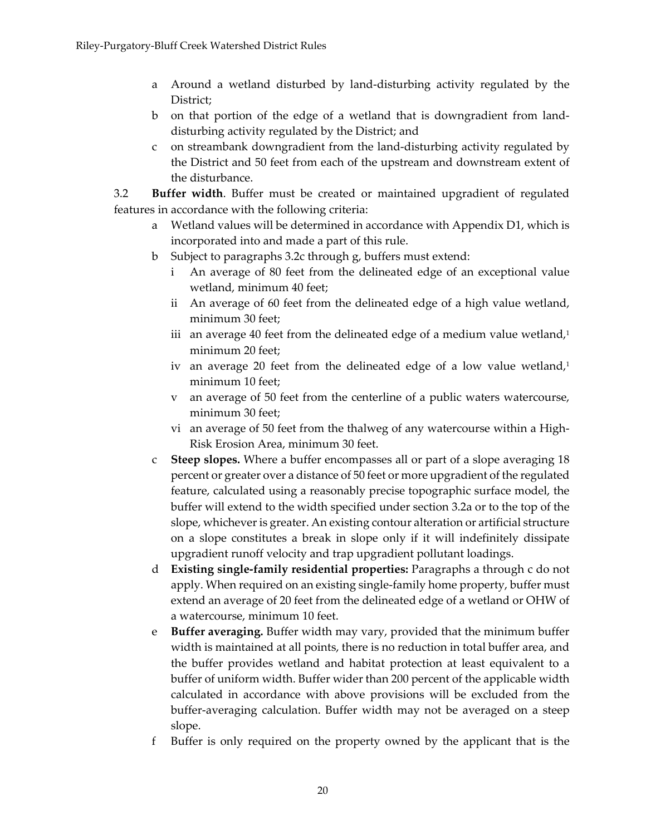- a Around a wetland disturbed by land‐disturbing activity regulated by the District;
- b on that portion of the edge of a wetland that is downgradient from land‐ disturbing activity regulated by the District; and
- c on streambank downgradient from the land‐disturbing activity regulated by the District and 50 feet from each of the upstream and downstream extent of the disturbance.

3.2 **Buffer width**. Buffer must be created or maintained upgradient of regulated features in accordance with the following criteria:

- a Wetland values will be determined in accordance with Appendix D1, which is incorporated into and made a part of this rule.
- b Subject to paragraphs 3.2c through g, buffers must extend:
	- i An average of 80 feet from the delineated edge of an exceptional value wetland, minimum 40 feet;
	- ii An average of 60 feet from the delineated edge of a high value wetland, minimum 30 feet;
	- iii an average 40 feet from the delineated edge of a medium value wetland, $1$ minimum 20 feet;
	- iv an average 20 feet from the delineated edge of a low value wetland, $1$ minimum 10 feet;
	- v an average of 50 feet from the centerline of a public waters watercourse, minimum 30 feet;
	- vi an average of 50 feet from the thalweg of any watercourse within a High‐ Risk Erosion Area, minimum 30 feet.
- c **Steep slopes.** Where a buffer encompasses all or part of a slope averaging 18 percent or greater over a distance of 50 feet or more upgradient of the regulated feature, calculated using a reasonably precise topographic surface model, the buffer will extend to the width specified under section 3.2a or to the top of the slope, whicheveris greater. An existing contour alteration or artificial structure on a slope constitutes a break in slope only if it will indefinitely dissipate upgradient runoff velocity and trap upgradient pollutant loadings.
- d **Existing single‐family residential properties:** Paragraphs a through c do not apply. When required on an existing single‐family home property, buffer must extend an average of 20 feet from the delineated edge of a wetland or OHW of a watercourse, minimum 10 feet.
- e **Buffer averaging.** Buffer width may vary, provided that the minimum buffer width is maintained at all points, there is no reduction in total buffer area, and the buffer provides wetland and habitat protection at least equivalent to a buffer of uniform width. Buffer wider than 200 percent of the applicable width calculated in accordance with above provisions will be excluded from the buffer‐averaging calculation. Buffer width may not be averaged on a steep slope.
- f Buffer is only required on the property owned by the applicant that is the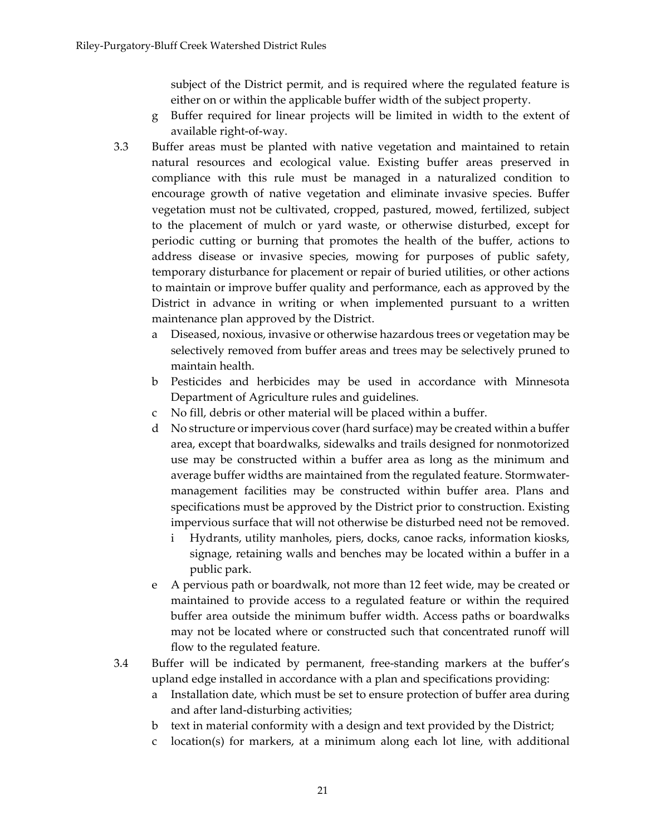subject of the District permit, and is required where the regulated feature is either on or within the applicable buffer width of the subject property.

- g Buffer required for linear projects will be limited in width to the extent of available right‐of‐way.
- 3.3 Buffer areas must be planted with native vegetation and maintained to retain natural resources and ecological value. Existing buffer areas preserved in compliance with this rule must be managed in a naturalized condition to encourage growth of native vegetation and eliminate invasive species. Buffer vegetation must not be cultivated, cropped, pastured, mowed, fertilized, subject to the placement of mulch or yard waste, or otherwise disturbed, except for periodic cutting or burning that promotes the health of the buffer, actions to address disease or invasive species, mowing for purposes of public safety, temporary disturbance for placement or repair of buried utilities, or other actions to maintain or improve buffer quality and performance, each as approved by the District in advance in writing or when implemented pursuant to a written maintenance plan approved by the District.
	- a Diseased, noxious, invasive or otherwise hazardous trees or vegetation may be selectively removed from buffer areas and trees may be selectively pruned to maintain health.
	- b Pesticides and herbicides may be used in accordance with Minnesota Department of Agriculture rules and guidelines.
	- c No fill, debris or other material will be placed within a buffer.
	- d No structure orimpervious cover(hard surface) may be created within a buffer area, except that boardwalks, sidewalks and trails designed for nonmotorized use may be constructed within a buffer area as long as the minimum and average buffer widths are maintained from the regulated feature. Stormwater‐ management facilities may be constructed within buffer area. Plans and specifications must be approved by the District prior to construction. Existing impervious surface that will not otherwise be disturbed need not be removed.
		- i Hydrants, utility manholes, piers, docks, canoe racks, information kiosks, signage, retaining walls and benches may be located within a buffer in a public park.
	- e A pervious path or boardwalk, not more than 12 feet wide, may be created or maintained to provide access to a regulated feature or within the required buffer area outside the minimum buffer width. Access paths or boardwalks may not be located where or constructed such that concentrated runoff will flow to the regulated feature.
- 3.4 Buffer will be indicated by permanent, free‐standing markers at the buffer's upland edge installed in accordance with a plan and specifications providing:
	- a Installation date, which must be set to ensure protection of buffer area during and after land‐disturbing activities;
	- b text in material conformity with a design and text provided by the District;
	- c location(s) for markers, at a minimum along each lot line, with additional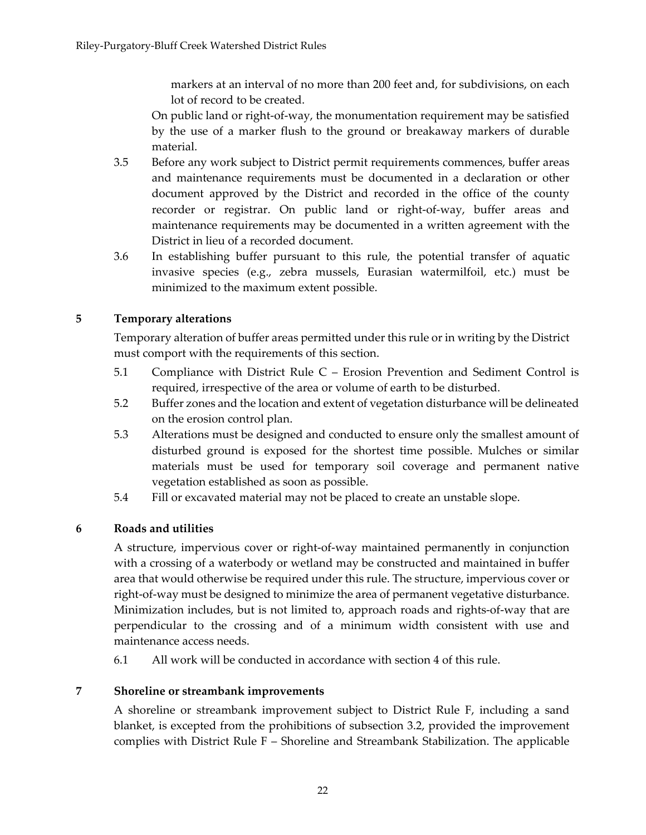markers at an interval of no more than 200 feet and, for subdivisions, on each lot of record to be created.

On public land or right‐of‐way, the monumentation requirement may be satisfied by the use of a marker flush to the ground or breakaway markers of durable material.

- 3.5 Before any work subject to District permit requirements commences, buffer areas and maintenance requirements must be documented in a declaration or other document approved by the District and recorded in the office of the county recorder or registrar. On public land or right‐of‐way, buffer areas and maintenance requirements may be documented in a written agreement with the District in lieu of a recorded document.
- 3.6 In establishing buffer pursuant to this rule, the potential transfer of aquatic invasive species (e.g., zebra mussels, Eurasian watermilfoil, etc.) must be minimized to the maximum extent possible.

# **5 Temporary alterations**

Temporary alteration of buffer areas permitted under this rule or in writing by the District must comport with the requirements of this section.

- 5.1 Compliance with District Rule C Erosion Prevention and Sediment Control is required, irrespective of the area or volume of earth to be disturbed.
- 5.2 Buffer zones and the location and extent of vegetation disturbance will be delineated on the erosion control plan.
- 5.3 Alterations must be designed and conducted to ensure only the smallest amount of disturbed ground is exposed for the shortest time possible. Mulches or similar materials must be used for temporary soil coverage and permanent native vegetation established as soon as possible.
- 5.4 Fill or excavated material may not be placed to create an unstable slope.

## **6 Roads and utilities**

A structure, impervious cover or right‐of‐way maintained permanently in conjunction with a crossing of a waterbody or wetland may be constructed and maintained in buffer area that would otherwise be required under this rule. The structure, impervious cover or right‐of‐way must be designed to minimize the area of permanent vegetative disturbance. Minimization includes, but is not limited to, approach roads and rights‐of‐way that are perpendicular to the crossing and of a minimum width consistent with use and maintenance access needs.

6.1 All work will be conducted in accordance with section 4 of this rule.

## **7 Shoreline or streambank improvements**

A shoreline or streambank improvement subject to District Rule F, including a sand blanket, is excepted from the prohibitions of subsection 3.2, provided the improvement complies with District Rule F – Shoreline and Streambank Stabilization. The applicable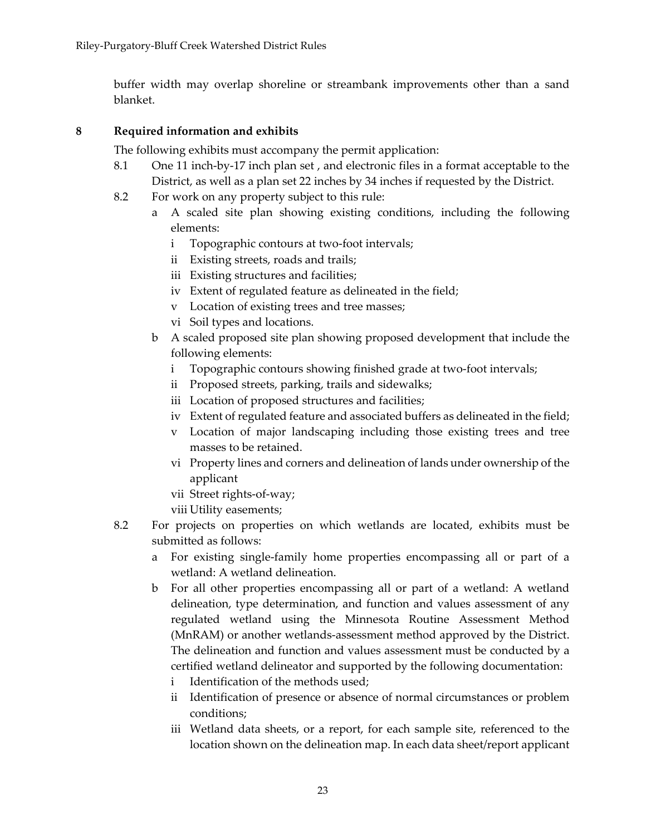buffer width may overlap shoreline or streambank improvements other than a sand blanket.

### **8 Required information and exhibits**

The following exhibits must accompany the permit application:

- 8.1 One 11 inch-by-17 inch plan set, and electronic files in a format acceptable to the District, as well as a plan set 22 inches by 34 inches if requested by the District.
- 8.2 For work on any property subject to this rule:
	- a A scaled site plan showing existing conditions, including the following elements:
		- i Topographic contours at two‐foot intervals;
		- ii Existing streets, roads and trails;
		- iii Existing structures and facilities;
		- iv Extent of regulated feature as delineated in the field;
		- v Location of existing trees and tree masses;
		- vi Soil types and locations.
	- b A scaled proposed site plan showing proposed development that include the following elements:
		- i Topographic contours showing finished grade at two-foot intervals;
		- ii Proposed streets, parking, trails and sidewalks;
		- iii Location of proposed structures and facilities;
		- iv Extent of regulated feature and associated buffers as delineated in the field;
		- v Location of major landscaping including those existing trees and tree masses to be retained.
		- vi Property lines and corners and delineation of lands under ownership of the applicant
		- vii Street rights‐of‐way;
		- viii Utility easements;
- 8.2 For projects on properties on which wetlands are located, exhibits must be submitted as follows:
	- a For existing single‐family home properties encompassing all or part of a wetland: A wetland delineation.
	- b For all other properties encompassing all or part of a wetland: A wetland delineation, type determination, and function and values assessment of any regulated wetland using the Minnesota Routine Assessment Method (MnRAM) or another wetlands‐assessment method approved by the District. The delineation and function and values assessment must be conducted by a certified wetland delineator and supported by the following documentation:
		- i Identification of the methods used;
		- ii Identification of presence or absence of normal circumstances or problem conditions;
		- iii Wetland data sheets, or a report, for each sample site, referenced to the location shown on the delineation map. In each data sheet/report applicant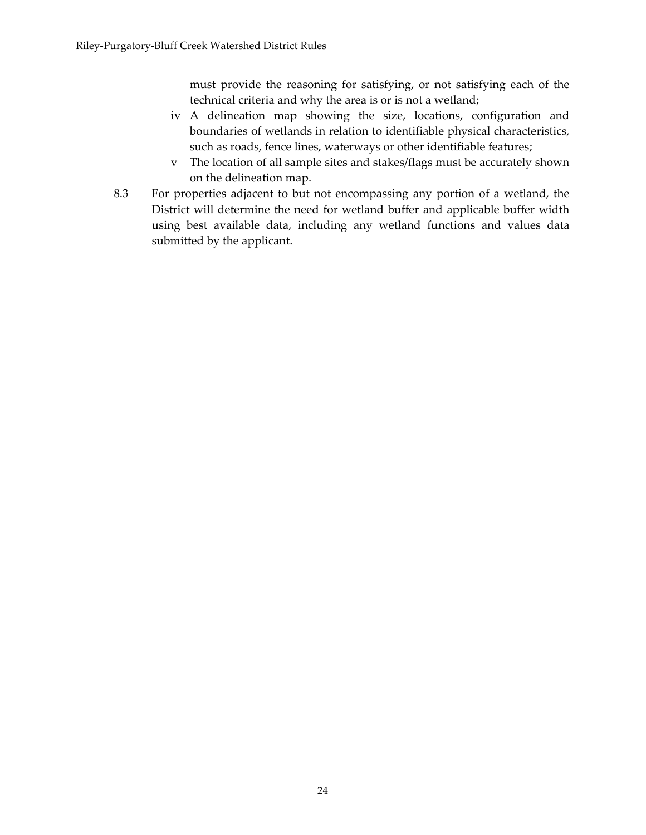must provide the reasoning for satisfying, or not satisfying each of the technical criteria and why the area is or is not a wetland;

- iv A delineation map showing the size, locations, configuration and boundaries of wetlands in relation to identifiable physical characteristics, such as roads, fence lines, waterways or other identifiable features;
- v The location of all sample sites and stakes/flags must be accurately shown on the delineation map.
- 8.3 For properties adjacent to but not encompassing any portion of a wetland, the District will determine the need for wetland buffer and applicable buffer width using best available data, including any wetland functions and values data submitted by the applicant.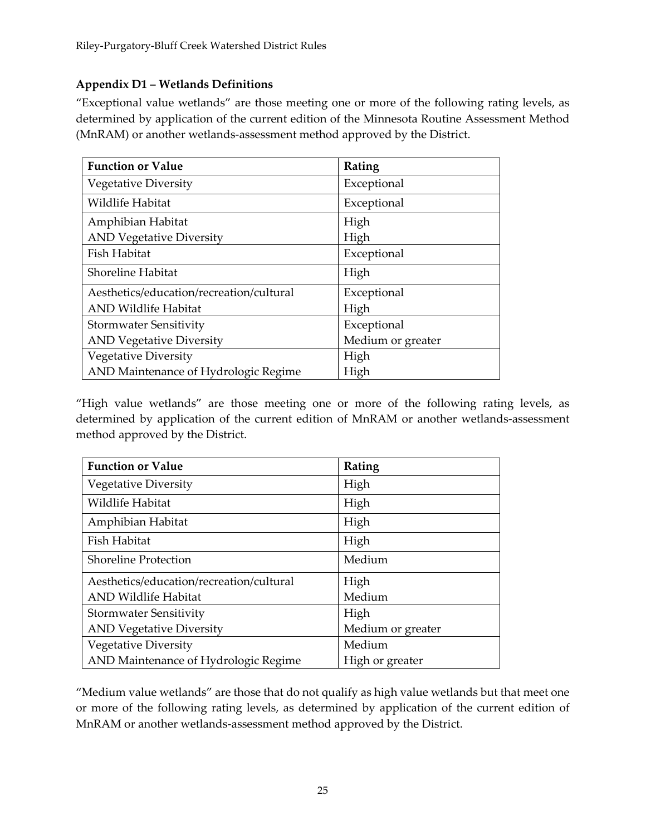## **Appendix D1 – Wetlands Definitions**

"Exceptional value wetlands" are those meeting one or more of the following rating levels, as determined by application of the current edition of the Minnesota Routine Assessment Method (MnRAM) or another wetlands‐assessment method approved by the District.

| <b>Function or Value</b>                 | Rating            |
|------------------------------------------|-------------------|
| <b>Vegetative Diversity</b>              | Exceptional       |
| Wildlife Habitat                         | Exceptional       |
| Amphibian Habitat                        | High              |
| <b>AND Vegetative Diversity</b>          | High              |
| Fish Habitat                             | Exceptional       |
| Shoreline Habitat                        | High              |
| Aesthetics/education/recreation/cultural | Exceptional       |
| <b>AND Wildlife Habitat</b>              | High              |
| <b>Stormwater Sensitivity</b>            | Exceptional       |
| <b>AND Vegetative Diversity</b>          | Medium or greater |
| <b>Vegetative Diversity</b>              | High              |
| AND Maintenance of Hydrologic Regime     | High              |

"High value wetlands" are those meeting one or more of the following rating levels, as determined by application of the current edition of MnRAM or another wetlands‐assessment method approved by the District.

| <b>Function or Value</b>                 | Rating            |
|------------------------------------------|-------------------|
| <b>Vegetative Diversity</b>              | High              |
| Wildlife Habitat                         | High              |
| Amphibian Habitat                        | High              |
| Fish Habitat                             | High              |
| <b>Shoreline Protection</b>              | Medium            |
| Aesthetics/education/recreation/cultural | High              |
| <b>AND Wildlife Habitat</b>              | Medium            |
| <b>Stormwater Sensitivity</b>            | High              |
| <b>AND Vegetative Diversity</b>          | Medium or greater |
| <b>Vegetative Diversity</b>              | Medium            |
| AND Maintenance of Hydrologic Regime     | High or greater   |

"Medium value wetlands" are those that do not qualify as high value wetlands but that meet one or more of the following rating levels, as determined by application of the current edition of MnRAM or another wetlands‐assessment method approved by the District.